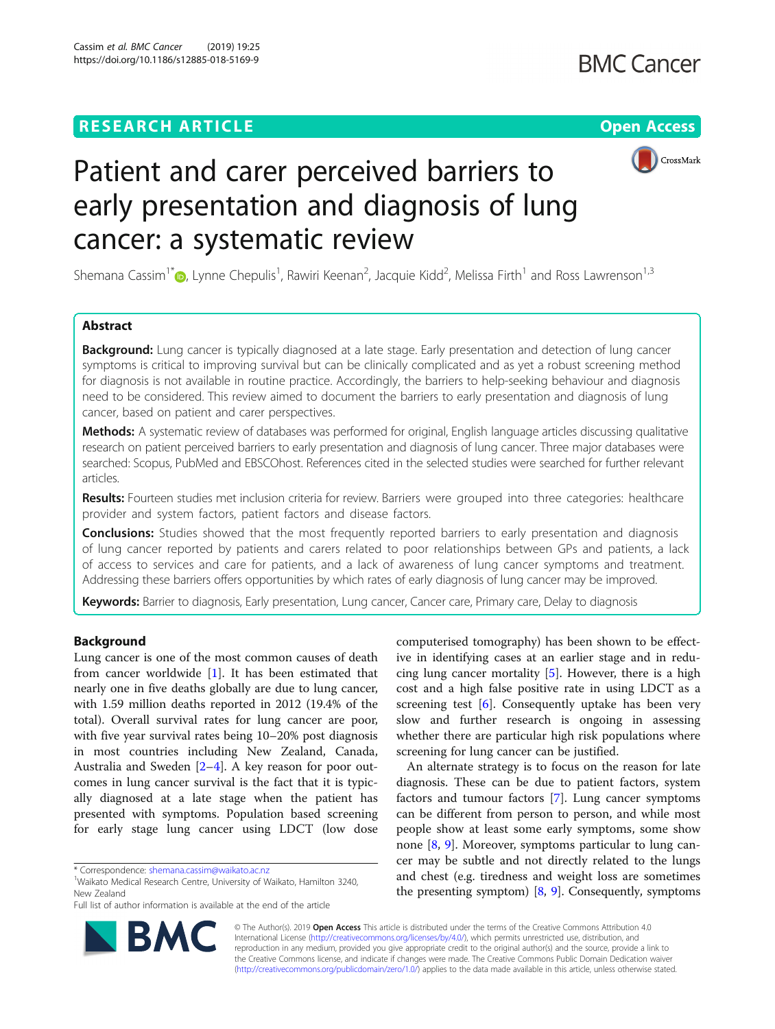# **RESEARCH ARTICLE Example 2014 12:30 The Contract of Contract ACCESS**



# Patient and carer perceived barriers to early presentation and diagnosis of lung cancer: a systematic review

Shemana Cassim<sup>1[\\*](http://orcid.org/0000-0001-7027-3467)</sup> $\bullet$ , Lynne Chepulis<sup>1</sup>, Rawiri Keenan<sup>2</sup>, Jacquie Kidd<sup>2</sup>, Melissa Firth<sup>1</sup> and Ross Lawrenson<sup>1,3</sup>

# Abstract

**Background:** Lung cancer is typically diagnosed at a late stage. Early presentation and detection of lung cancer symptoms is critical to improving survival but can be clinically complicated and as yet a robust screening method for diagnosis is not available in routine practice. Accordingly, the barriers to help-seeking behaviour and diagnosis need to be considered. This review aimed to document the barriers to early presentation and diagnosis of lung cancer, based on patient and carer perspectives.

Methods: A systematic review of databases was performed for original, English language articles discussing qualitative research on patient perceived barriers to early presentation and diagnosis of lung cancer. Three major databases were searched: Scopus, PubMed and EBSCOhost. References cited in the selected studies were searched for further relevant articles.

Results: Fourteen studies met inclusion criteria for review. Barriers were grouped into three categories: healthcare provider and system factors, patient factors and disease factors.

**Conclusions:** Studies showed that the most frequently reported barriers to early presentation and diagnosis of lung cancer reported by patients and carers related to poor relationships between GPs and patients, a lack of access to services and care for patients, and a lack of awareness of lung cancer symptoms and treatment. Addressing these barriers offers opportunities by which rates of early diagnosis of lung cancer may be improved.

Keywords: Barrier to diagnosis, Early presentation, Lung cancer, Cancer care, Primary care, Delay to diagnosis

# Background

Lung cancer is one of the most common causes of death from cancer worldwide [[1\]](#page-12-0). It has been estimated that nearly one in five deaths globally are due to lung cancer, with 1.59 million deaths reported in 2012 (19.4% of the total). Overall survival rates for lung cancer are poor, with five year survival rates being 10–20% post diagnosis in most countries including New Zealand, Canada, Australia and Sweden [\[2](#page-12-0)–[4](#page-12-0)]. A key reason for poor outcomes in lung cancer survival is the fact that it is typically diagnosed at a late stage when the patient has presented with symptoms. Population based screening for early stage lung cancer using LDCT (low dose

BА



An alternate strategy is to focus on the reason for late diagnosis. These can be due to patient factors, system factors and tumour factors [[7\]](#page-12-0). Lung cancer symptoms can be different from person to person, and while most people show at least some early symptoms, some show none [[8](#page-12-0), [9\]](#page-12-0). Moreover, symptoms particular to lung cancer may be subtle and not directly related to the lungs and chest (e.g. tiredness and weight loss are sometimes the presenting symptom)  $[8, 9]$  $[8, 9]$  $[8, 9]$  $[8, 9]$ . Consequently, symptoms

© The Author(s). 2019 Open Access This article is distributed under the terms of the Creative Commons Attribution 4.0 International License [\(http://creativecommons.org/licenses/by/4.0/](http://creativecommons.org/licenses/by/4.0/)), which permits unrestricted use, distribution, and reproduction in any medium, provided you give appropriate credit to the original author(s) and the source, provide a link to the Creative Commons license, and indicate if changes were made. The Creative Commons Public Domain Dedication waiver [\(http://creativecommons.org/publicdomain/zero/1.0/](http://creativecommons.org/publicdomain/zero/1.0/)) applies to the data made available in this article, unless otherwise stated.

<sup>\*</sup> Correspondence: [shemana.cassim@waikato.ac.nz](mailto:shemana.cassim@waikato.ac.nz) <sup>1</sup>

<sup>&</sup>lt;sup>1</sup>Waikato Medical Research Centre, University of Waikato, Hamilton 3240, New Zealand

Full list of author information is available at the end of the article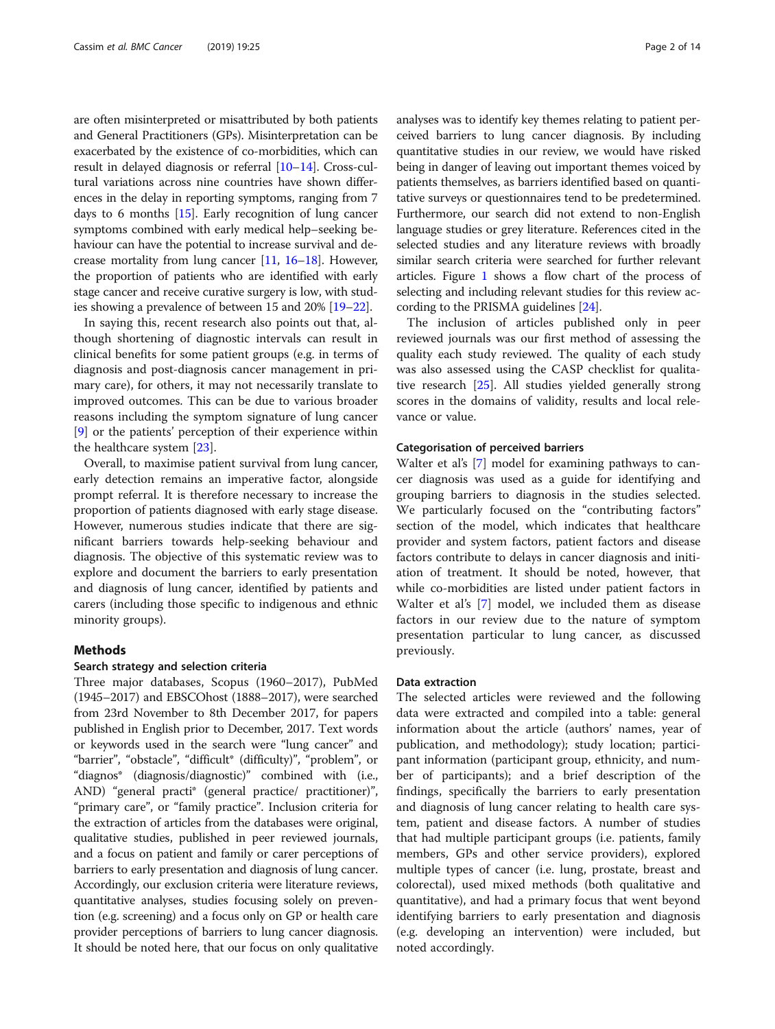are often misinterpreted or misattributed by both patients and General Practitioners (GPs). Misinterpretation can be exacerbated by the existence of co-morbidities, which can result in delayed diagnosis or referral [\[10](#page-12-0)–[14](#page-12-0)]. Cross-cultural variations across nine countries have shown differences in the delay in reporting symptoms, ranging from 7 days to 6 months [\[15\]](#page-12-0). Early recognition of lung cancer symptoms combined with early medical help–seeking behaviour can have the potential to increase survival and decrease mortality from lung cancer [\[11](#page-12-0), [16](#page-12-0)–[18](#page-12-0)]. However, the proportion of patients who are identified with early stage cancer and receive curative surgery is low, with studies showing a prevalence of between 15 and 20% [\[19](#page-12-0)–[22](#page-12-0)].

In saying this, recent research also points out that, although shortening of diagnostic intervals can result in clinical benefits for some patient groups (e.g. in terms of diagnosis and post-diagnosis cancer management in primary care), for others, it may not necessarily translate to improved outcomes. This can be due to various broader reasons including the symptom signature of lung cancer [[9\]](#page-12-0) or the patients' perception of their experience within the healthcare system [\[23](#page-12-0)].

Overall, to maximise patient survival from lung cancer, early detection remains an imperative factor, alongside prompt referral. It is therefore necessary to increase the proportion of patients diagnosed with early stage disease. However, numerous studies indicate that there are significant barriers towards help-seeking behaviour and diagnosis. The objective of this systematic review was to explore and document the barriers to early presentation and diagnosis of lung cancer, identified by patients and carers (including those specific to indigenous and ethnic minority groups).

# Methods

# Search strategy and selection criteria

Three major databases, Scopus (1960–2017), PubMed (1945–2017) and EBSCOhost (1888–2017), were searched from 23rd November to 8th December 2017, for papers published in English prior to December, 2017. Text words or keywords used in the search were "lung cancer" and "barrier", "obstacle", "difficult\* (difficulty)", "problem", or "diagnos\* (diagnosis/diagnostic)" combined with (i.e., AND) "general practi\* (general practice/ practitioner)", "primary care", or "family practice". Inclusion criteria for the extraction of articles from the databases were original, qualitative studies, published in peer reviewed journals, and a focus on patient and family or carer perceptions of barriers to early presentation and diagnosis of lung cancer. Accordingly, our exclusion criteria were literature reviews, quantitative analyses, studies focusing solely on prevention (e.g. screening) and a focus only on GP or health care provider perceptions of barriers to lung cancer diagnosis. It should be noted here, that our focus on only qualitative analyses was to identify key themes relating to patient perceived barriers to lung cancer diagnosis. By including quantitative studies in our review, we would have risked being in danger of leaving out important themes voiced by patients themselves, as barriers identified based on quantitative surveys or questionnaires tend to be predetermined. Furthermore, our search did not extend to non-English language studies or grey literature. References cited in the selected studies and any literature reviews with broadly similar search criteria were searched for further relevant articles. Figure [1](#page-2-0) shows a flow chart of the process of selecting and including relevant studies for this review according to the PRISMA guidelines [[24](#page-12-0)].

The inclusion of articles published only in peer reviewed journals was our first method of assessing the quality each study reviewed. The quality of each study was also assessed using the CASP checklist for qualitative research [[25](#page-12-0)]. All studies yielded generally strong scores in the domains of validity, results and local relevance or value.

# Categorisation of perceived barriers

Walter et al's [\[7](#page-12-0)] model for examining pathways to cancer diagnosis was used as a guide for identifying and grouping barriers to diagnosis in the studies selected. We particularly focused on the "contributing factors" section of the model, which indicates that healthcare provider and system factors, patient factors and disease factors contribute to delays in cancer diagnosis and initiation of treatment. It should be noted, however, that while co-morbidities are listed under patient factors in Walter et al's [[7\]](#page-12-0) model, we included them as disease factors in our review due to the nature of symptom presentation particular to lung cancer, as discussed previously.

# Data extraction

The selected articles were reviewed and the following data were extracted and compiled into a table: general information about the article (authors' names, year of publication, and methodology); study location; participant information (participant group, ethnicity, and number of participants); and a brief description of the findings, specifically the barriers to early presentation and diagnosis of lung cancer relating to health care system, patient and disease factors. A number of studies that had multiple participant groups (i.e. patients, family members, GPs and other service providers), explored multiple types of cancer (i.e. lung, prostate, breast and colorectal), used mixed methods (both qualitative and quantitative), and had a primary focus that went beyond identifying barriers to early presentation and diagnosis (e.g. developing an intervention) were included, but noted accordingly.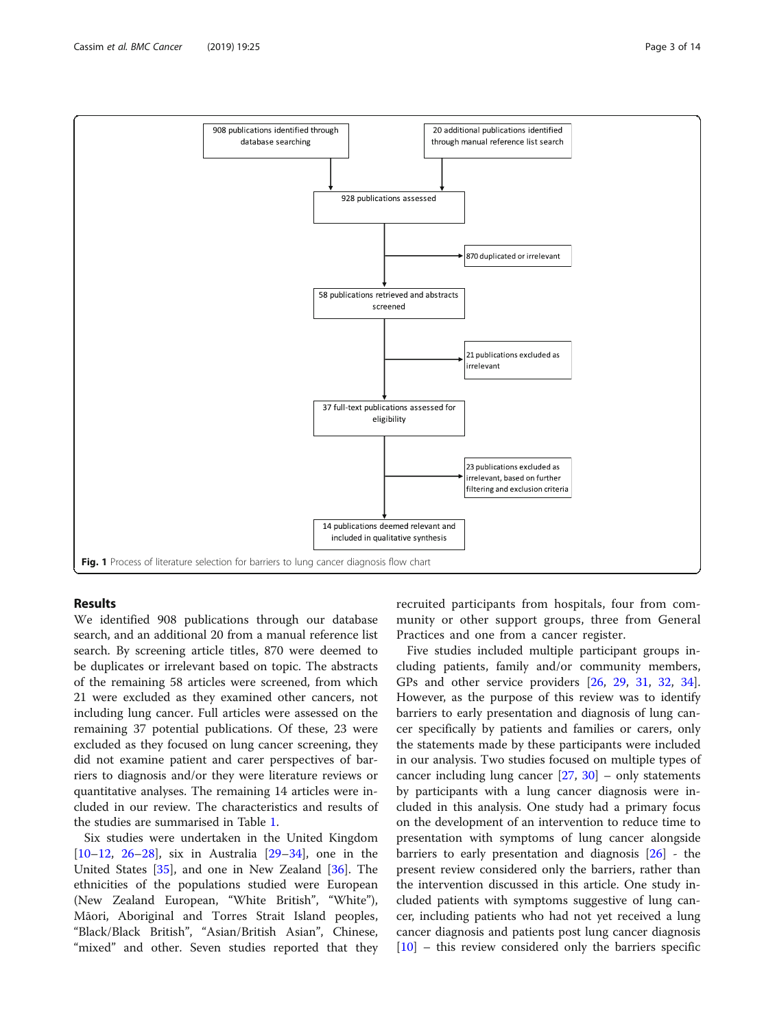<span id="page-2-0"></span>

# Results

We identified 908 publications through our database search, and an additional 20 from a manual reference list search. By screening article titles, 870 were deemed to be duplicates or irrelevant based on topic. The abstracts of the remaining 58 articles were screened, from which 21 were excluded as they examined other cancers, not including lung cancer. Full articles were assessed on the remaining 37 potential publications. Of these, 23 were excluded as they focused on lung cancer screening, they did not examine patient and carer perspectives of barriers to diagnosis and/or they were literature reviews or quantitative analyses. The remaining 14 articles were included in our review. The characteristics and results of the studies are summarised in Table [1](#page-3-0).

Six studies were undertaken in the United Kingdom [[10](#page-12-0)–[12](#page-12-0), [26](#page-12-0)–[28\]](#page-12-0), six in Australia [\[29](#page-12-0)–[34](#page-12-0)], one in the United States [[35](#page-12-0)], and one in New Zealand [[36\]](#page-12-0). The ethnicities of the populations studied were European (New Zealand European, "White British", "White"), Māori, Aboriginal and Torres Strait Island peoples, "Black/Black British", "Asian/British Asian", Chinese, "mixed" and other. Seven studies reported that they recruited participants from hospitals, four from community or other support groups, three from General Practices and one from a cancer register.

Five studies included multiple participant groups including patients, family and/or community members, GPs and other service providers [\[26,](#page-12-0) [29](#page-12-0), [31,](#page-12-0) [32,](#page-12-0) [34](#page-12-0)]. However, as the purpose of this review was to identify barriers to early presentation and diagnosis of lung cancer specifically by patients and families or carers, only the statements made by these participants were included in our analysis. Two studies focused on multiple types of cancer including lung cancer  $[27, 30]$  $[27, 30]$  $[27, 30]$  $[27, 30]$  $[27, 30]$  – only statements by participants with a lung cancer diagnosis were included in this analysis. One study had a primary focus on the development of an intervention to reduce time to presentation with symptoms of lung cancer alongside barriers to early presentation and diagnosis [\[26](#page-12-0)] - the present review considered only the barriers, rather than the intervention discussed in this article. One study included patients with symptoms suggestive of lung cancer, including patients who had not yet received a lung cancer diagnosis and patients post lung cancer diagnosis [[10\]](#page-12-0) – this review considered only the barriers specific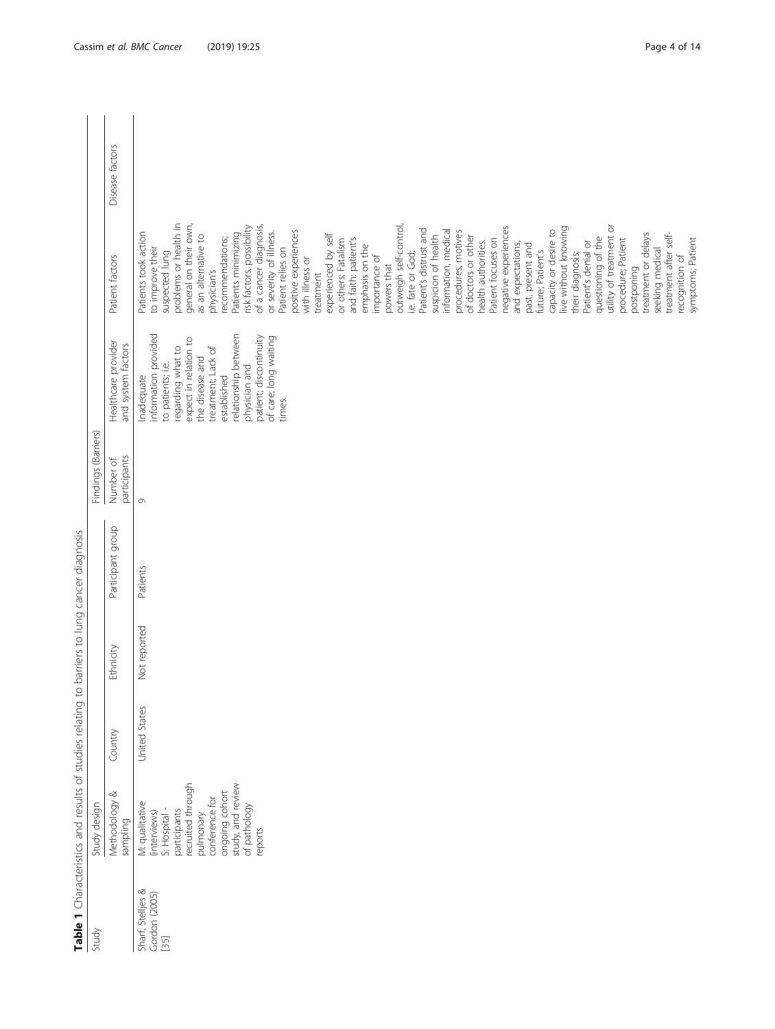| 5<br>j                                                                             |  |
|------------------------------------------------------------------------------------|--|
| Ç<br>١<br>ׇ֚֬֘<br>֕<br>İ<br>$\overline{a}$                                         |  |
| ١<br>$\overline{)}$<br>֖֖֖֚֚֚֚֚֚֚֚֚֚֚֡֬<br>֘֝֬                                     |  |
| ֖֖֖֧ׅ֧ׅ֪ׅ֧֚֚֚֚֚֚֚֚֚֚֚֚֚֚֚֚֚֚֚֚֚֚֚֚֚֚֚֡֬֝֝֬֓֡֞֡֓֡֬֓֞֡֡֬֓֝֬<br>ì<br>١<br>j<br>į<br>Ì |  |
| j<br>Ì<br>i<br>١                                                                   |  |
| i<br>J<br>ׇ֠֞<br>ļ<br>$\overline{\phantom{a}}$<br>ׇ֚֬֘                             |  |
| j<br>l<br>1<br>ׇ֠<br>ׇ֚֓֡<br>l<br>j<br>l<br>l<br>$\overline{\phantom{a}}$<br>I     |  |
| $\frac{1}{a}$                                                                      |  |

<span id="page-3-0"></span>

|                                            | Table 1 Characteristics and results of studies relating to barriers to lung cancer diagnosis                                                                                        |               |              |                   |                           |                                                                                                                                                                                                                                                                     |                                                                                                                                                                                                                                                                                                                                                                                                                                                                                                                                                                                                                                                                                                                                                                                                                                                                                                                                                                                                                                                                                             |                 |
|--------------------------------------------|-------------------------------------------------------------------------------------------------------------------------------------------------------------------------------------|---------------|--------------|-------------------|---------------------------|---------------------------------------------------------------------------------------------------------------------------------------------------------------------------------------------------------------------------------------------------------------------|---------------------------------------------------------------------------------------------------------------------------------------------------------------------------------------------------------------------------------------------------------------------------------------------------------------------------------------------------------------------------------------------------------------------------------------------------------------------------------------------------------------------------------------------------------------------------------------------------------------------------------------------------------------------------------------------------------------------------------------------------------------------------------------------------------------------------------------------------------------------------------------------------------------------------------------------------------------------------------------------------------------------------------------------------------------------------------------------|-----------------|
| Study                                      | Study design                                                                                                                                                                        |               |              |                   | Findings (Barriers)       |                                                                                                                                                                                                                                                                     |                                                                                                                                                                                                                                                                                                                                                                                                                                                                                                                                                                                                                                                                                                                                                                                                                                                                                                                                                                                                                                                                                             |                 |
|                                            | Methodology &<br>sampling                                                                                                                                                           | Country       | Ethnicity    | Participant group | participants<br>Number of | Healthcare provider<br>and system factors                                                                                                                                                                                                                           | Patient factors                                                                                                                                                                                                                                                                                                                                                                                                                                                                                                                                                                                                                                                                                                                                                                                                                                                                                                                                                                                                                                                                             | Disease factors |
| Sharf, Stelljes &<br>Gordon (2005)<br>[35] | recruited through<br>study, and review<br>ongoing cohort<br>conference for<br>M: qualitative<br>of pathology<br>participants<br>(interviews)<br>pulmonary<br>S: Hospital<br>reports | United States | Not reported | Patients          | $\circ$                   | information provided<br>relationship between<br>patient; discontinuity<br>of care; long waiting<br>expect in relation to<br>treatment; Lack of<br>regarding what to<br>the disease and<br>to patients; i.e.<br>physician and<br>Inadequate<br>established<br>times. | problems or health in<br>general on their own,<br>of a cancer diagnosis,<br>utility of treatment or<br>risk factors, possibility<br>outweigh self-control,<br>live without knowing<br>negative experiences<br>Patient's distrust and<br>capacity or desire to<br>positive experiences<br>or severity of illness.<br>information, medical<br>procedures, motives<br>Patients took action<br>treatment after self-<br>Patients minimizing<br>treatment or delays<br>as an alternative to<br>experienced by self<br>suspicion of health<br>of doctors or other<br>questioning of the<br>recommendations;<br>or others; Fatalism<br>procedure; Patient<br>and faith: patient's<br>Patient focuses on<br>symptoms; Patient<br>health authorities.<br>Patient's denial or<br>and expectations,<br>past, present and<br>emphasis on the<br>to improve their<br>Patient relies on<br>seeking medical<br>future; Patient's<br>suspected lung<br>i.e. fate or God;<br>their diagnosis;<br>recognition of<br>importance of<br>with illness or<br>powers that<br>postponing<br>physician's<br>treatment |                 |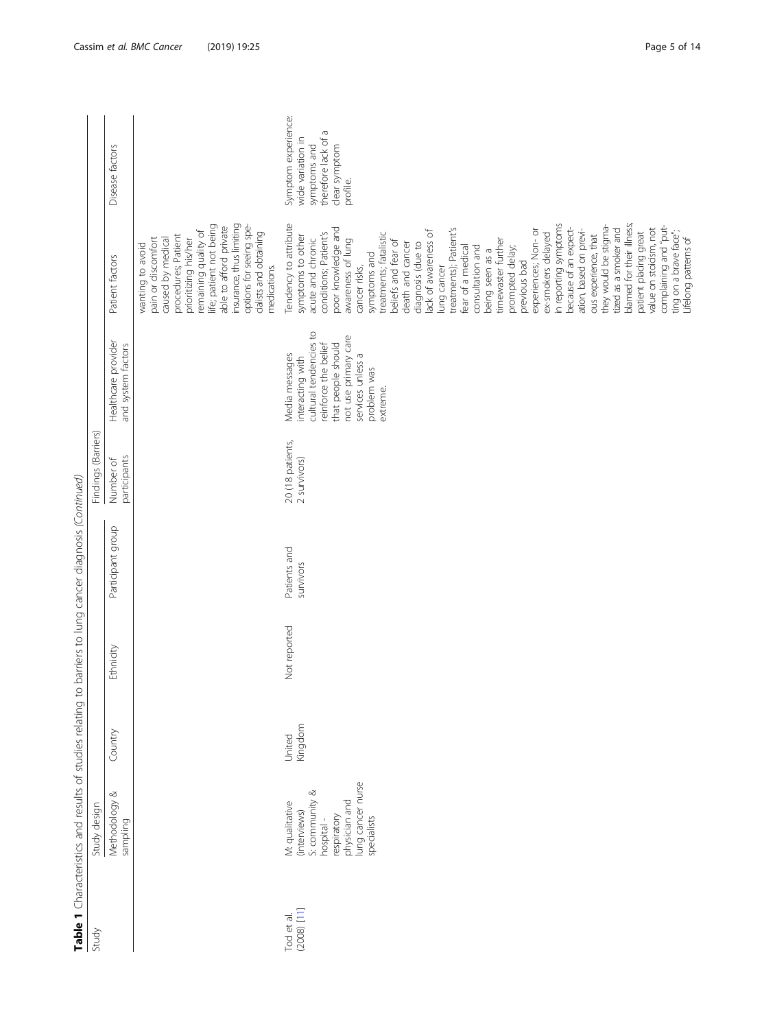| Š<br>j<br>j<br>I<br>I                               |
|-----------------------------------------------------|
| ׇ֚֚֬<br>I<br>֖֖֖֚֚֚֚֚֚֬<br>$\overline{ }$<br>١<br>j |
| j<br>I<br>j<br>j<br>Ś<br>j<br>J                     |
| ١                                                   |
| í<br>1<br>I<br>Ĭ<br>١<br>$\overline{a}$             |
| $\overline{ }$                                      |
|                                                     |
| j                                                   |
|                                                     |
|                                                     |
| ١                                                   |
|                                                     |
| $\overline{C}$<br>١                                 |
| ı                                                   |
| Ó<br>l<br>i<br>7                                    |
|                                                     |

|                               |                                                                                                                                    |                   |              | Table 1 Characteristics and results of studies relating to barriers to lung cancer diagnosis (Continued) |                                  |                                                                                                                                                                                    |                                                                                                                                                                                                                                                                                                                                                                                                                                                                                                                                                                                                                                                                                                                                                                                                                    |                                                                                                              |
|-------------------------------|------------------------------------------------------------------------------------------------------------------------------------|-------------------|--------------|----------------------------------------------------------------------------------------------------------|----------------------------------|------------------------------------------------------------------------------------------------------------------------------------------------------------------------------------|--------------------------------------------------------------------------------------------------------------------------------------------------------------------------------------------------------------------------------------------------------------------------------------------------------------------------------------------------------------------------------------------------------------------------------------------------------------------------------------------------------------------------------------------------------------------------------------------------------------------------------------------------------------------------------------------------------------------------------------------------------------------------------------------------------------------|--------------------------------------------------------------------------------------------------------------|
| Study                         | Study design                                                                                                                       |                   |              |                                                                                                          | Findings (Barriers)              |                                                                                                                                                                                    |                                                                                                                                                                                                                                                                                                                                                                                                                                                                                                                                                                                                                                                                                                                                                                                                                    |                                                                                                              |
|                               | Methodology &<br>sampling                                                                                                          | Country           | Ethnicity    | Participant group                                                                                        | participants<br>Number of        | Healthcare provider<br>and system factors                                                                                                                                          | Patient factors                                                                                                                                                                                                                                                                                                                                                                                                                                                                                                                                                                                                                                                                                                                                                                                                    | Disease factors                                                                                              |
|                               |                                                                                                                                    |                   |              |                                                                                                          |                                  |                                                                                                                                                                                    | insurance, thus limiting<br>life; patient not being<br>options for seeing spe-<br>able to afford private<br>remaining quality of<br>cialists and obtaining<br>procedures; Patient<br>prioritizing his/her<br>pain or discomfort<br>caused by medical<br>wanting to avoid<br>medications.                                                                                                                                                                                                                                                                                                                                                                                                                                                                                                                           |                                                                                                              |
| $(2008)$ $[11]$<br>Tod et al. | lung cancer nurse<br>S: community &<br>physician and<br>M: qualitative<br>(interviews)<br>respiratory<br>specialists<br>hospital - | Kingdom<br>United | Not reported | Patients and<br>survivors                                                                                | 20 (18 patients,<br>2 survivors) | cultural tendencies to<br>not use primary care<br>reinforce the belief<br>that people should<br>services unless a<br>Media messages<br>interacting with<br>problem was<br>extreme. | Tendency to attribute<br>in reporting symptoms<br>blamed for their illness;<br>complaining and "put-<br>poor knowledge and<br>they would be stigma-<br>treatments); Patient's<br>because of an expect-<br>value on stoicism, not<br>tized as a smoker and<br>experiences; Non-or<br>ation, based on previ-<br>ting on a brave face";<br>lack of awareness of<br>conditions; Patient's<br>patient placing great<br>treatments; fatalistic<br>ex-smokers delayed<br>symptoms to other<br>ous experience, that<br>Lifelong patterns of<br>acute and chronic<br>awareness of lung<br>beliefs and fear of<br>timewaster further<br>death and cancer<br>diagnosis (due to<br>consultation and<br>prompted delay;<br>fear of a medical<br>being seen as a<br>symptoms and<br>previous bad<br>cancer risks,<br>lung cancer | Symptom experience:<br>therefore lack of a<br>wide variation in<br>symptoms and<br>clear symptom<br>profile. |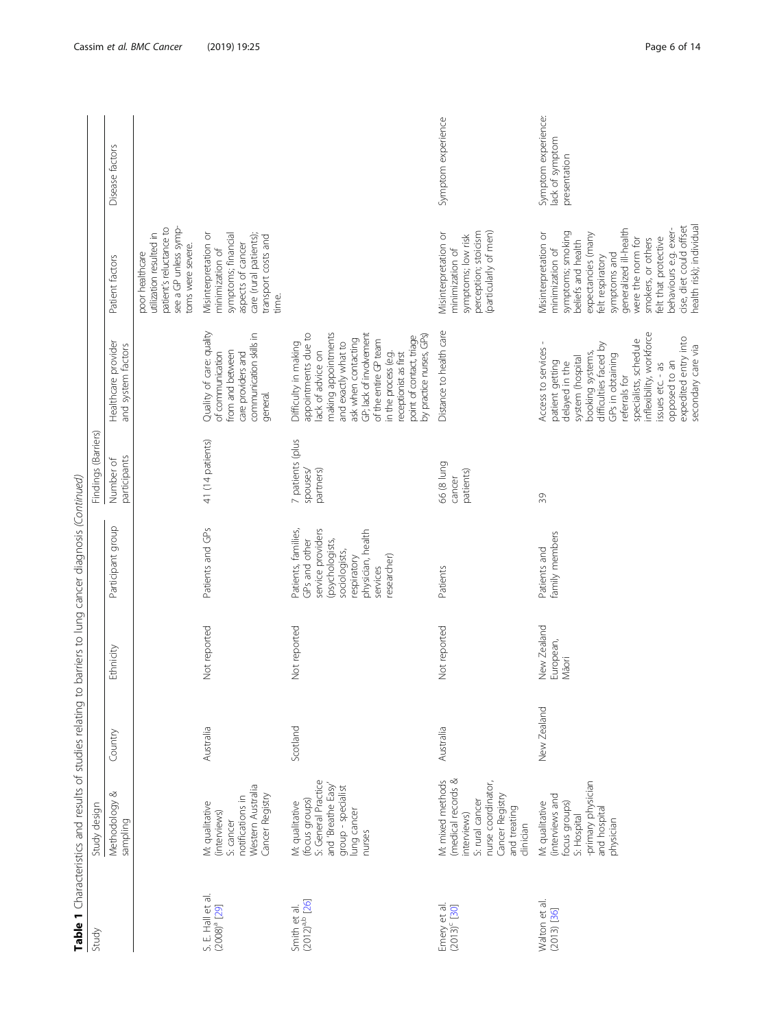| j<br>j<br>it account of the later of the complete that the second contract of the second of the complete that is a contract of the second of the contract of the contract of the contract of the contract of the contract of the contrac<br>j<br>こうり<br>j<br>j<br>ĺ<br>֧֖֖֖֧֧֧֧֧֧֧֧֧֧֧֧֧֧֧֧֧֧֧֧֧֧֧֧֧֧֚֚֚֚֚֚֚֚֚֝֝֝֝֓֝֓֝֓֝֓֝֬֝֓֝֓֝֬֝֓֝֬֝֓֝֓֝֓֝֬֝֓֝֬֝֓֝֬֝֓֝֬֝֓֝֬֝֬֝֬֝֬֝֬֝֝֬֝֬֝֬֝֬֝֬֝֬֝֝֬֝<br>j<br>į<br>Ā |
|-------------------------------------------------------------------------------------------------------------------------------------------------------------------------------------------------------------------------------------------------------------------------------------------------------------------------------------------------------------------------------------------------------|
| ֠<br>j<br>S<br>j<br>5<br>s<br>S                                                                                                                                                                                                                                                                                                                                                                       |

| Study                                  | Study design                                                                                                                                   |             |                                   |                                                                                                                                                              | Findings (Barriers)                       |                                                                                                                                                                                                                                                                                                       |                                                                                                                                                                                                                                                                                                                           |                                                        |
|----------------------------------------|------------------------------------------------------------------------------------------------------------------------------------------------|-------------|-----------------------------------|--------------------------------------------------------------------------------------------------------------------------------------------------------------|-------------------------------------------|-------------------------------------------------------------------------------------------------------------------------------------------------------------------------------------------------------------------------------------------------------------------------------------------------------|---------------------------------------------------------------------------------------------------------------------------------------------------------------------------------------------------------------------------------------------------------------------------------------------------------------------------|--------------------------------------------------------|
|                                        | Methodology &<br>sampling                                                                                                                      | Country     | Ethnicity                         | Participant group                                                                                                                                            | participants<br>Number of                 | Healthcare provider<br>and system factors                                                                                                                                                                                                                                                             | Patient factors                                                                                                                                                                                                                                                                                                           | Disease factors                                        |
|                                        |                                                                                                                                                |             |                                   |                                                                                                                                                              |                                           |                                                                                                                                                                                                                                                                                                       | see a GP unless symp-<br>patient's reluctance to<br>utilization resulted in<br>toms were severe.<br>poor healthcare                                                                                                                                                                                                       |                                                        |
| S. E. Hall et al.<br>$(2008)^{a}$ [29] | Western Australia<br>Cancer Registry<br>notifications in<br>M: qualitative<br>(interviews)<br>S: cancer                                        | Australia   | Not reported                      | Patients and GPs                                                                                                                                             | 41 (14 patients)                          | Quality of care: quality<br>communication skills in<br>from and between<br>care providers and<br>of communication<br>general.                                                                                                                                                                         | symptoms; financial<br>care (rural patients);<br>Misinterpretation or<br>transport costs and<br>aspects of cancer<br>minimization of<br>time.                                                                                                                                                                             |                                                        |
| Smith et al.<br>$(2012)^{ab}$ $[26]$   | S: General Practice<br>and 'Breathe Easy<br>group - specialist<br>(focus groups)<br>M: qualitative<br>ung cancer<br>nurses                     | Scotland    | Not reported                      | Patients, families,<br>service providers<br>physician, health<br>GPs and other<br>(psychologists,<br>sociologists,<br>researcher)<br>respiratory<br>services | 7 patients (plus<br>spouses/<br>partners) | making appointments<br>appointments due to<br>GP; lack of involvement<br>by practice nurses, GPs)<br>point of contact, triage<br>ask when contacting<br>of the entire GP team<br>and exactly what to<br>Difficulty in making<br>lack of advice on<br>in the process (e.g.<br>receptionist as first    |                                                                                                                                                                                                                                                                                                                           |                                                        |
| Emery et al<br>$(2013)^c$ [30]         | (medical records &<br>M: mixed methods<br>nurse coordinator,<br>Cancer Registry<br>S: rural cancer<br>and treating<br>interviews)<br>clinician | Australia   | Not reported                      | Patients                                                                                                                                                     | 66 (8 lung<br>patients)<br>cancer         | Distance to health care                                                                                                                                                                                                                                                                               | perception; stoicism<br>(particularly of men)<br>Misinterpretation or<br>symptoms; low risk<br>minimization of                                                                                                                                                                                                            | Symptom experience                                     |
| Walton et al.<br>$(2013)$ [36]         | -primary physician<br>interviews and<br>M: qualitative<br>focus groups)<br>and hospital<br>S: Hospital<br>physician                            | New Zealand | New Zealand<br>European,<br>Māori | family members<br>Patients and                                                                                                                               | 39                                        | inflexibility, workforce<br>expedited entry into<br>specialists, schedule<br>difficulties faced by<br>secondary care via<br>Access to services<br>booking systems,<br>GPs in obtaining<br>system (hospital<br>patient getting<br>opposed to an<br>delayed in the<br>issues etc. - as<br>referrals for | health risk); individual<br>cise, diet could offset<br>generalized ill-health<br>behaviours e.g. exer-<br>symptoms; smoking<br>expectancies (many<br>Misinterpretation or<br>felt that protective<br>were the norm for<br>smokers, or others<br>beliefs and health<br>minimization of<br>symptoms and<br>felt respiratory | Symptom experience:<br>lack of symptom<br>presentation |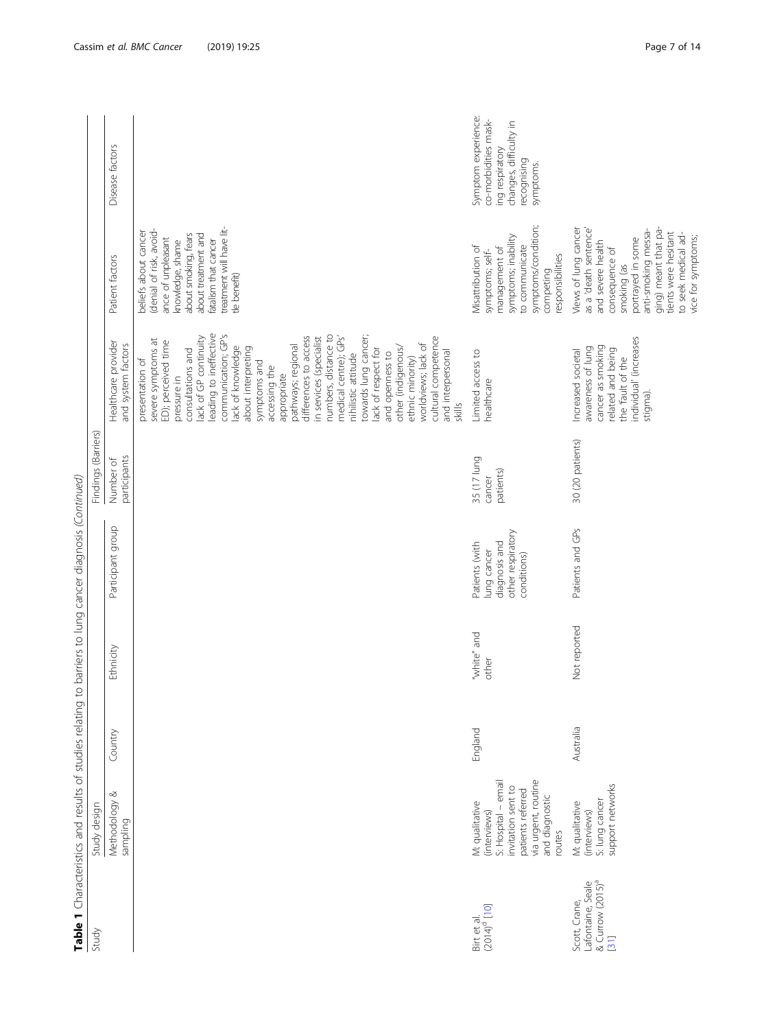|                                                                           | Table 1 Characteristics and results of studies relating t                                                                                           |           |                      | o barriers to lung cancer diagnosis (Continued)                                    |                                    |                                                                                                                                                                                                                                                                                                                                                                                                                                                                                                                                                                                                                 |                                                                                                                                                                                                                                              |                                                                                                                      |
|---------------------------------------------------------------------------|-----------------------------------------------------------------------------------------------------------------------------------------------------|-----------|----------------------|------------------------------------------------------------------------------------|------------------------------------|-----------------------------------------------------------------------------------------------------------------------------------------------------------------------------------------------------------------------------------------------------------------------------------------------------------------------------------------------------------------------------------------------------------------------------------------------------------------------------------------------------------------------------------------------------------------------------------------------------------------|----------------------------------------------------------------------------------------------------------------------------------------------------------------------------------------------------------------------------------------------|----------------------------------------------------------------------------------------------------------------------|
| Study                                                                     | Study design                                                                                                                                        |           |                      |                                                                                    | Findings (Barriers)                |                                                                                                                                                                                                                                                                                                                                                                                                                                                                                                                                                                                                                 |                                                                                                                                                                                                                                              |                                                                                                                      |
|                                                                           | ∞<br>Methodology<br>sampling                                                                                                                        | Country   | Ethnicity            | Participant group                                                                  | participants<br>Number of          | Healthcare provider<br>and system factors                                                                                                                                                                                                                                                                                                                                                                                                                                                                                                                                                                       | Patient factors                                                                                                                                                                                                                              | Disease factors                                                                                                      |
|                                                                           |                                                                                                                                                     |           |                      |                                                                                    |                                    | eading to ineffective<br>communication; GP's<br>numbers, distance to<br>towards lung cancer;<br>differences to access<br>in services (specialist<br>medical centre); GPs'<br>cultural competence<br>lack of GP continuity<br>severe symptoms at<br>ED); perceived time<br>worldviews; lack of<br>lack of knowledge<br>pathways; regional<br>other (indigenous/<br>about interpreting<br>lack of respect for<br>consultations and<br>and interpersonal<br>nihilistic attitude<br>and openness to<br>ethnic minority)<br>presentation of<br>symptoms and<br>accessing the<br>appropriate<br>pressure in<br>skills | treatment will have lit-<br>(denial of risk, avoid-<br>beliefs about cancer<br>about treatment and<br>about smoking, fears<br>ance of unpleasant<br>fatalism that cancer<br>knowledge, shame<br>tle benefit)                                 |                                                                                                                      |
| $(2014)^d$ [10]<br>Birt et al.                                            | via urgent, routine<br>S: Hospital - email<br>invitation sent to<br>patients referred<br>and diagnostic<br>M: qualitative<br>(interviews)<br>routes | England   | "white" and<br>other | other respiratory<br>diagnosis and<br>Patients (with<br>lung cancer<br>conditions) | 35 (17 lung<br>patients)<br>cancer | Limited access to<br>healthcare                                                                                                                                                                                                                                                                                                                                                                                                                                                                                                                                                                                 | symptoms/condition;<br>symptoms; inability<br>Misattribution of<br>to communicate<br>management of<br>symptoms; self-<br>responsibilities<br>competing                                                                                       | Symptom experience:<br>co-morbidities mask-<br>changes, difficulty in<br>ing respiratory<br>recognising<br>symptoms. |
| & Currow (2015) <sup>a</sup><br>afontaine, Seale<br>Scott, Crane,<br>[31] | support networks<br>S: lung cancer<br>M: qualitative<br>(interviews)                                                                                | Australia | Not reported         | Patients and GPs                                                                   | 30 (20 patients)                   | individual' (increases<br>cancer as smoking<br>awareness of lung<br>related and being<br>Increased societal<br>the 'fault of the<br>stigma).                                                                                                                                                                                                                                                                                                                                                                                                                                                                    | ging) meant that pa-<br>Views of lung cancer<br>as a 'death sentence'<br>anti-smoking messa-<br>tients were hesitant<br>to seek medical ad-<br>vice for symptoms;<br>portrayed in some<br>and severe health<br>consequence of<br>smoking (as |                                                                                                                      |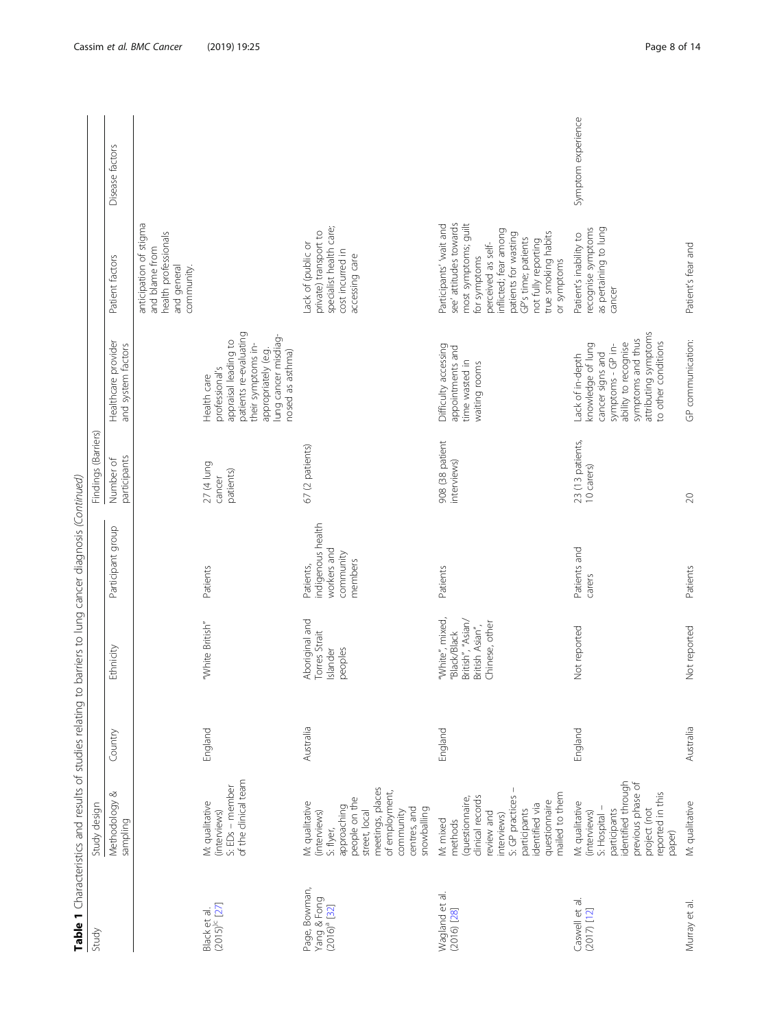|                                                          | Table 1 Characteristics and results of studies relating to barriers to lung cancer diagnosis (Continued)                                                                        |           |                                                                                           |                                                                       |                                   |                                                                                                                                                                            |                                                                                                                                                                                                                                                     |                    |
|----------------------------------------------------------|---------------------------------------------------------------------------------------------------------------------------------------------------------------------------------|-----------|-------------------------------------------------------------------------------------------|-----------------------------------------------------------------------|-----------------------------------|----------------------------------------------------------------------------------------------------------------------------------------------------------------------------|-----------------------------------------------------------------------------------------------------------------------------------------------------------------------------------------------------------------------------------------------------|--------------------|
| Study                                                    | Study design                                                                                                                                                                    |           |                                                                                           |                                                                       | Findings (Barriers)               |                                                                                                                                                                            |                                                                                                                                                                                                                                                     |                    |
|                                                          | ∞<br>Methodology<br>sampling                                                                                                                                                    | Country   | Ethnicity                                                                                 | Participant group                                                     | participants<br>Number of         | Healthcare provider<br>and system factors                                                                                                                                  | Patient factors                                                                                                                                                                                                                                     | Disease factors    |
| Black et al.<br>(2015) <sup>3c</sup> [27]                | of the clinical team<br>S: EDs - member<br>M: qualitative<br>(interviews)                                                                                                       | England   | "White British"                                                                           | Patients                                                              | 27 (4 lung<br>patients)<br>cancer | patients re-evaluating<br>lung cancer misdiag-<br>appraisal leading to<br>their symptoms in-<br>appropriately (e.g.<br>professional's<br>Health care                       | anticipation of stigma<br>health professionals<br>and blame from<br>and general<br>community.                                                                                                                                                       |                    |
| Page, Bowman,<br>Yang & Fong<br>(2016) <sup>a</sup> [32] | meetings, places<br>of employment,<br>people on the<br>M: qualitative<br>approaching<br>centres, and<br>snowballing<br>community<br>street, local<br>(interviews)<br>S: flyer,  | Australia | Aboriginal and<br>Torres Strait<br>peoples<br>Islander                                    | indigenous health<br>workers and<br>community<br>members<br>Patients, | 67 (2 patients)                   | nosed as asthma)                                                                                                                                                           | specialist health care;<br>private) transport to<br>Lack of (public or<br>cost incurred in<br>accessing care                                                                                                                                        |                    |
| Wagland et al.<br>$(2016)$ [28]                          | mailed to them<br>S: GP practices<br>clinical records<br>(questionnaire,<br>questionnaire<br>identified via<br>participants<br>review and<br>interviews)<br>M: mixed<br>methods | England   | "White", mixed,<br>British", "Asian/<br>Chinese, other<br>British Asian",<br>"Black/Black | Patients                                                              | 908 (38 patient<br>interviews)    | Difficulty accessing<br>appointments and<br>time wasted in<br>waiting rooms                                                                                                | see' attitudes towards<br>Participants' wait and<br>most symptoms; guilt<br>inflicted; fear among<br>true smoking habits<br>patients for wasting<br>GP's time; patients<br>not fully reporting<br>perceived as self-<br>for symptoms<br>or symptoms |                    |
| Caswell et al.<br>$(2017)$ $[12]$                        | identified through<br>previous phase of<br>reported in this<br>M: qualitative<br>S: Hospital -<br>project (not<br>participants<br>(interviews)<br>paper)                        | England   | Not reported                                                                              | Patients and<br>Carers                                                | 23 (13 patients,<br>10 carers)    | symptoms and thus<br>attributing symptoms<br>to other conditions<br>ability to recognise<br>knowledge of lung<br>symptoms - GP in-<br>cancer signs and<br>Lack of in-depth | recognise symptoms<br>as pertaining to lung<br>Patient's inability to<br>cancer                                                                                                                                                                     | Symptom experience |
| Murray et al.                                            | M: qualitative                                                                                                                                                                  | Australia | Not reported                                                                              | Patients                                                              | $\gtrsim$                         | GP communication:                                                                                                                                                          | Patient's fear and                                                                                                                                                                                                                                  |                    |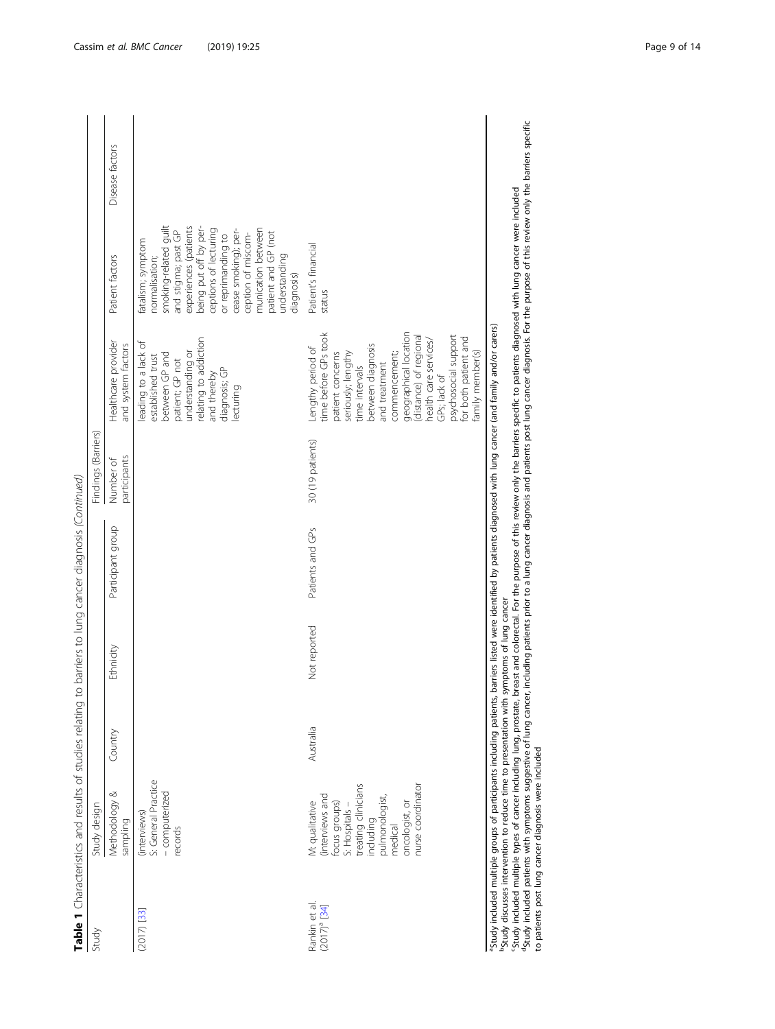| Š<br>i<br>١                           |
|---------------------------------------|
| ۱                                     |
| $\overline{)}$                        |
| I<br>j<br>l<br>ł<br>١<br>$\mathbf{r}$ |
|                                       |
|                                       |
| $\overline{ }$                        |
| $\overline{\phantom{a}}$<br>֠         |
| ׇ֚֘֝֬<br>ׇ֚֘֝֬                        |
|                                       |
| I                                     |
| $\frac{1}{2}$<br>Ć                    |

|                                 | Table 1 Characteristics and results of studies relating to barriers to lung cancer diagnosis (Continued)                                                                     |           |              |                   |                           |                                                                                                                                                                                                                                                                                                                              |                                                                                                                                                                                                                                                                                                                |                 |
|---------------------------------|------------------------------------------------------------------------------------------------------------------------------------------------------------------------------|-----------|--------------|-------------------|---------------------------|------------------------------------------------------------------------------------------------------------------------------------------------------------------------------------------------------------------------------------------------------------------------------------------------------------------------------|----------------------------------------------------------------------------------------------------------------------------------------------------------------------------------------------------------------------------------------------------------------------------------------------------------------|-----------------|
| Study                           | Study design                                                                                                                                                                 |           |              |                   | Findings (Barriers)       |                                                                                                                                                                                                                                                                                                                              |                                                                                                                                                                                                                                                                                                                |                 |
|                                 | Methodology &<br>sampling                                                                                                                                                    | Country   | Ethnicity    | Participant group | participants<br>Number of | Healthcare provider<br>and system factors                                                                                                                                                                                                                                                                                    | Patient factors                                                                                                                                                                                                                                                                                                | Disease factors |
| $(2017)$ [33]                   | S: General Practice<br>- computerized<br>(interviews)<br>records                                                                                                             |           |              |                   |                           | relating to addiction<br>leading to a lack of<br>understanding or<br>between GP and<br>established trust<br>patient; GP not<br>diagnosis; GP<br>and thereby<br>lecturing                                                                                                                                                     | smoking-related guilt<br>being put off by per-<br>experiences (patients<br>munication between<br>ceptions of lecturing<br>cease smoking); per-<br>and stigma; past GP<br>ception of miscom-<br>patient and GP (not<br>or reprimanding to<br>fatalism; symptom<br>understanding<br>normalisation;<br>diagnosis) |                 |
| Rankin et al.<br>$(2017)a$ [34] | nurse coordinator<br>treating clinicians<br>including<br>pulmonologist,<br>(interviews and<br>M: qualitative<br>oncologist, or<br>focus groups)<br>S: Hospitals –<br>medical | Australia | Not reported | Patients and GPs  | 30 (19 patients)          | geographical location<br>time before GPs took<br>(distance) of regional<br>psychosocial support<br>for both patient and<br>health care services/<br>between diagnosis<br>Lengthy period of<br>family member(s)<br>seriously; lengthy<br>commencement;<br>patient concerns<br>and treatment<br>time intervals<br>GPs; lack of | Patient's financial<br>status                                                                                                                                                                                                                                                                                  |                 |

"Study included multiple groups of participants including patients, barriers listed were identified by patients diagnosed with lung cancer (and family and/or carers)<br>"Study discusses intervention to reduce time to presenta dstudy included patients with symptoms suggestive of lung cancer, including patients prior to a lung cancer diagnosis and patients post lung cancer diagnosis. For the purpose of this review only the barriers specific cStudy included multiple types of cancer including lung, prostate, breast and colorectal. For the purpose of this review only the barriers specific to patients diagnosed with lung cancer were included to patients post lung cancer diagnosis were included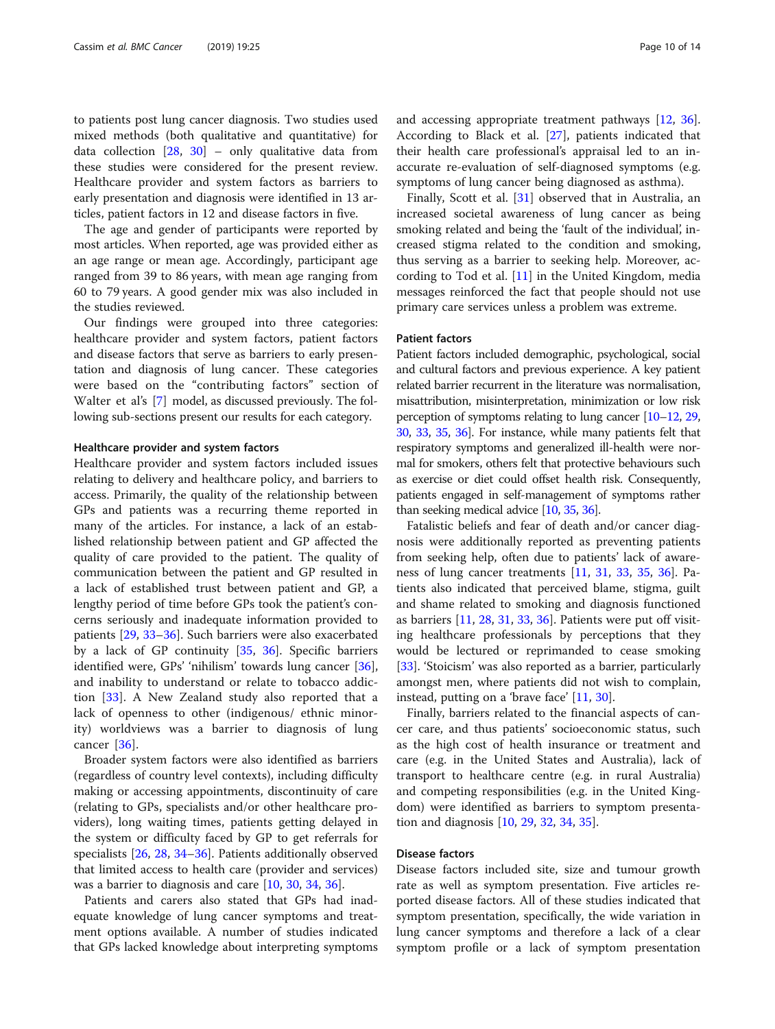to patients post lung cancer diagnosis. Two studies used mixed methods (both qualitative and quantitative) for data collection  $[28, 30]$  $[28, 30]$  $[28, 30]$  – only qualitative data from these studies were considered for the present review. Healthcare provider and system factors as barriers to early presentation and diagnosis were identified in 13 articles, patient factors in 12 and disease factors in five.

The age and gender of participants were reported by most articles. When reported, age was provided either as an age range or mean age. Accordingly, participant age ranged from 39 to 86 years, with mean age ranging from 60 to 79 years. A good gender mix was also included in the studies reviewed.

Our findings were grouped into three categories: healthcare provider and system factors, patient factors and disease factors that serve as barriers to early presentation and diagnosis of lung cancer. These categories were based on the "contributing factors" section of Walter et al's [\[7](#page-12-0)] model, as discussed previously. The following sub-sections present our results for each category.

# Healthcare provider and system factors

Healthcare provider and system factors included issues relating to delivery and healthcare policy, and barriers to access. Primarily, the quality of the relationship between GPs and patients was a recurring theme reported in many of the articles. For instance, a lack of an established relationship between patient and GP affected the quality of care provided to the patient. The quality of communication between the patient and GP resulted in a lack of established trust between patient and GP, a lengthy period of time before GPs took the patient's concerns seriously and inadequate information provided to patients [\[29,](#page-12-0) [33](#page-12-0)–[36\]](#page-12-0). Such barriers were also exacerbated by a lack of GP continuity [\[35](#page-12-0), [36\]](#page-12-0). Specific barriers identified were, GPs' 'nihilism' towards lung cancer [\[36](#page-12-0)], and inability to understand or relate to tobacco addiction [[33\]](#page-12-0). A New Zealand study also reported that a lack of openness to other (indigenous/ ethnic minority) worldviews was a barrier to diagnosis of lung cancer [[36](#page-12-0)].

Broader system factors were also identified as barriers (regardless of country level contexts), including difficulty making or accessing appointments, discontinuity of care (relating to GPs, specialists and/or other healthcare providers), long waiting times, patients getting delayed in the system or difficulty faced by GP to get referrals for specialists [[26,](#page-12-0) [28,](#page-12-0) [34](#page-12-0)–[36](#page-12-0)]. Patients additionally observed that limited access to health care (provider and services) was a barrier to diagnosis and care [\[10](#page-12-0), [30,](#page-12-0) [34,](#page-12-0) [36\]](#page-12-0).

Patients and carers also stated that GPs had inadequate knowledge of lung cancer symptoms and treatment options available. A number of studies indicated that GPs lacked knowledge about interpreting symptoms and accessing appropriate treatment pathways [\[12,](#page-12-0) [36](#page-12-0)]. According to Black et al. [[27](#page-12-0)], patients indicated that their health care professional's appraisal led to an inaccurate re-evaluation of self-diagnosed symptoms (e.g. symptoms of lung cancer being diagnosed as asthma).

Finally, Scott et al. [[31](#page-12-0)] observed that in Australia, an increased societal awareness of lung cancer as being smoking related and being the 'fault of the individual', increased stigma related to the condition and smoking, thus serving as a barrier to seeking help. Moreover, according to Tod et al. [[11](#page-12-0)] in the United Kingdom, media messages reinforced the fact that people should not use primary care services unless a problem was extreme.

# Patient factors

Patient factors included demographic, psychological, social and cultural factors and previous experience. A key patient related barrier recurrent in the literature was normalisation, misattribution, misinterpretation, minimization or low risk perception of symptoms relating to lung cancer [[10](#page-12-0)–[12](#page-12-0), [29](#page-12-0), [30](#page-12-0), [33](#page-12-0), [35](#page-12-0), [36](#page-12-0)]. For instance, while many patients felt that respiratory symptoms and generalized ill-health were normal for smokers, others felt that protective behaviours such as exercise or diet could offset health risk. Consequently, patients engaged in self-management of symptoms rather than seeking medical advice [\[10,](#page-12-0) [35,](#page-12-0) [36\]](#page-12-0).

Fatalistic beliefs and fear of death and/or cancer diagnosis were additionally reported as preventing patients from seeking help, often due to patients' lack of awareness of lung cancer treatments [[11,](#page-12-0) [31,](#page-12-0) [33,](#page-12-0) [35,](#page-12-0) [36\]](#page-12-0). Patients also indicated that perceived blame, stigma, guilt and shame related to smoking and diagnosis functioned as barriers [\[11](#page-12-0), [28,](#page-12-0) [31,](#page-12-0) [33,](#page-12-0) [36](#page-12-0)]. Patients were put off visiting healthcare professionals by perceptions that they would be lectured or reprimanded to cease smoking [[33\]](#page-12-0). 'Stoicism' was also reported as a barrier, particularly amongst men, where patients did not wish to complain, instead, putting on a 'brave face' [[11,](#page-12-0) [30\]](#page-12-0).

Finally, barriers related to the financial aspects of cancer care, and thus patients' socioeconomic status, such as the high cost of health insurance or treatment and care (e.g. in the United States and Australia), lack of transport to healthcare centre (e.g. in rural Australia) and competing responsibilities (e.g. in the United Kingdom) were identified as barriers to symptom presentation and diagnosis [[10](#page-12-0), [29](#page-12-0), [32](#page-12-0), [34](#page-12-0), [35](#page-12-0)].

# Disease factors

Disease factors included site, size and tumour growth rate as well as symptom presentation. Five articles reported disease factors. All of these studies indicated that symptom presentation, specifically, the wide variation in lung cancer symptoms and therefore a lack of a clear symptom profile or a lack of symptom presentation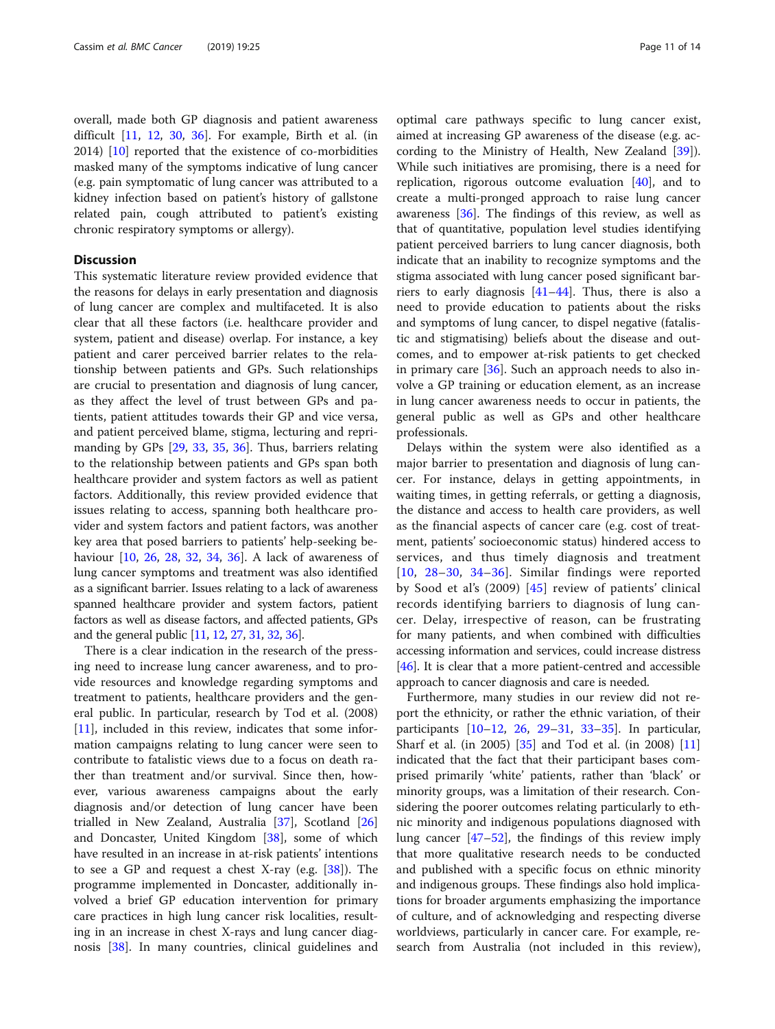overall, made both GP diagnosis and patient awareness difficult [\[11](#page-12-0), [12](#page-12-0), [30](#page-12-0), [36\]](#page-12-0). For example, Birth et al. (in 2014) [\[10](#page-12-0)] reported that the existence of co-morbidities masked many of the symptoms indicative of lung cancer (e.g. pain symptomatic of lung cancer was attributed to a kidney infection based on patient's history of gallstone related pain, cough attributed to patient's existing chronic respiratory symptoms or allergy).

# **Discussion**

This systematic literature review provided evidence that the reasons for delays in early presentation and diagnosis of lung cancer are complex and multifaceted. It is also clear that all these factors (i.e. healthcare provider and system, patient and disease) overlap. For instance, a key patient and carer perceived barrier relates to the relationship between patients and GPs. Such relationships are crucial to presentation and diagnosis of lung cancer, as they affect the level of trust between GPs and patients, patient attitudes towards their GP and vice versa, and patient perceived blame, stigma, lecturing and reprimanding by GPs [[29](#page-12-0), [33,](#page-12-0) [35](#page-12-0), [36](#page-12-0)]. Thus, barriers relating to the relationship between patients and GPs span both healthcare provider and system factors as well as patient factors. Additionally, this review provided evidence that issues relating to access, spanning both healthcare provider and system factors and patient factors, was another key area that posed barriers to patients' help-seeking behaviour [[10,](#page-12-0) [26,](#page-12-0) [28,](#page-12-0) [32,](#page-12-0) [34,](#page-12-0) [36\]](#page-12-0). A lack of awareness of lung cancer symptoms and treatment was also identified as a significant barrier. Issues relating to a lack of awareness spanned healthcare provider and system factors, patient factors as well as disease factors, and affected patients, GPs and the general public [\[11,](#page-12-0) [12,](#page-12-0) [27,](#page-12-0) [31,](#page-12-0) [32,](#page-12-0) [36\]](#page-12-0).

There is a clear indication in the research of the pressing need to increase lung cancer awareness, and to provide resources and knowledge regarding symptoms and treatment to patients, healthcare providers and the general public. In particular, research by Tod et al. (2008) [[11\]](#page-12-0), included in this review, indicates that some information campaigns relating to lung cancer were seen to contribute to fatalistic views due to a focus on death rather than treatment and/or survival. Since then, however, various awareness campaigns about the early diagnosis and/or detection of lung cancer have been trialled in New Zealand, Australia [\[37](#page-12-0)], Scotland [[26](#page-12-0)] and Doncaster, United Kingdom [\[38](#page-13-0)], some of which have resulted in an increase in at-risk patients' intentions to see a GP and request a chest X-ray (e.g.  $[38]$  $[38]$  $[38]$ ). The programme implemented in Doncaster, additionally involved a brief GP education intervention for primary care practices in high lung cancer risk localities, resulting in an increase in chest X-rays and lung cancer diagnosis [\[38\]](#page-13-0). In many countries, clinical guidelines and optimal care pathways specific to lung cancer exist, aimed at increasing GP awareness of the disease (e.g. according to the Ministry of Health, New Zealand [\[39](#page-13-0)]). While such initiatives are promising, there is a need for replication, rigorous outcome evaluation  $[40]$  $[40]$ , and to create a multi-pronged approach to raise lung cancer awareness [[36](#page-12-0)]. The findings of this review, as well as that of quantitative, population level studies identifying patient perceived barriers to lung cancer diagnosis, both indicate that an inability to recognize symptoms and the stigma associated with lung cancer posed significant barriers to early diagnosis  $[41-44]$  $[41-44]$  $[41-44]$  $[41-44]$  $[41-44]$ . Thus, there is also a need to provide education to patients about the risks and symptoms of lung cancer, to dispel negative (fatalistic and stigmatising) beliefs about the disease and outcomes, and to empower at-risk patients to get checked in primary care [\[36](#page-12-0)]. Such an approach needs to also involve a GP training or education element, as an increase in lung cancer awareness needs to occur in patients, the general public as well as GPs and other healthcare professionals.

Delays within the system were also identified as a major barrier to presentation and diagnosis of lung cancer. For instance, delays in getting appointments, in waiting times, in getting referrals, or getting a diagnosis, the distance and access to health care providers, as well as the financial aspects of cancer care (e.g. cost of treatment, patients' socioeconomic status) hindered access to services, and thus timely diagnosis and treatment [[10](#page-12-0), [28](#page-12-0)–[30](#page-12-0), [34](#page-12-0)–[36](#page-12-0)]. Similar findings were reported by Sood et al's (2009) [\[45\]](#page-13-0) review of patients' clinical records identifying barriers to diagnosis of lung cancer. Delay, irrespective of reason, can be frustrating for many patients, and when combined with difficulties accessing information and services, could increase distress [[46](#page-13-0)]. It is clear that a more patient-centred and accessible approach to cancer diagnosis and care is needed.

Furthermore, many studies in our review did not report the ethnicity, or rather the ethnic variation, of their participants [[10](#page-12-0)–[12](#page-12-0), [26](#page-12-0), [29](#page-12-0)–[31,](#page-12-0) [33](#page-12-0)–[35](#page-12-0)]. In particular, Sharf et al. (in 2005) [\[35](#page-12-0)] and Tod et al. (in 2008) [[11](#page-12-0)] indicated that the fact that their participant bases comprised primarily 'white' patients, rather than 'black' or minority groups, was a limitation of their research. Considering the poorer outcomes relating particularly to ethnic minority and indigenous populations diagnosed with lung cancer [[47](#page-13-0)–[52](#page-13-0)], the findings of this review imply that more qualitative research needs to be conducted and published with a specific focus on ethnic minority and indigenous groups. These findings also hold implications for broader arguments emphasizing the importance of culture, and of acknowledging and respecting diverse worldviews, particularly in cancer care. For example, research from Australia (not included in this review),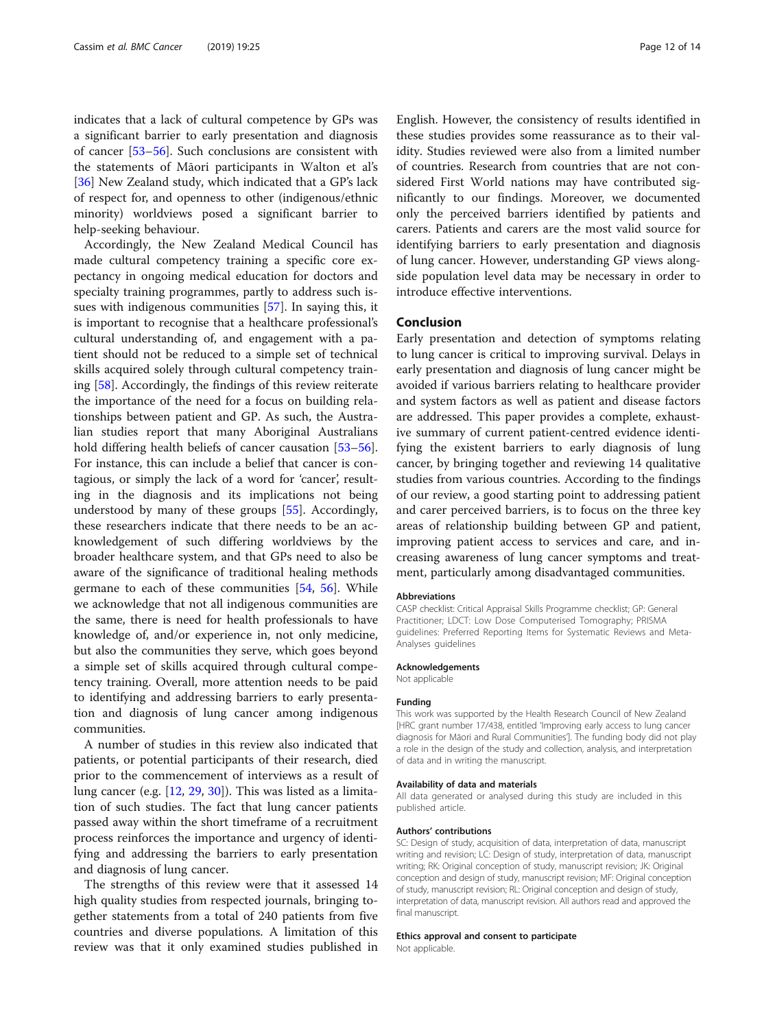indicates that a lack of cultural competence by GPs was a significant barrier to early presentation and diagnosis of cancer [[53](#page-13-0)–[56](#page-13-0)]. Such conclusions are consistent with the statements of Māori participants in Walton et al's [[36\]](#page-12-0) New Zealand study, which indicated that a GP's lack of respect for, and openness to other (indigenous/ethnic minority) worldviews posed a significant barrier to help-seeking behaviour.

Accordingly, the New Zealand Medical Council has made cultural competency training a specific core expectancy in ongoing medical education for doctors and specialty training programmes, partly to address such issues with indigenous communities [[57](#page-13-0)]. In saying this, it is important to recognise that a healthcare professional's cultural understanding of, and engagement with a patient should not be reduced to a simple set of technical skills acquired solely through cultural competency training [\[58](#page-13-0)]. Accordingly, the findings of this review reiterate the importance of the need for a focus on building relationships between patient and GP. As such, the Australian studies report that many Aboriginal Australians hold differing health beliefs of cancer causation [[53](#page-13-0)–[56](#page-13-0)]. For instance, this can include a belief that cancer is contagious, or simply the lack of a word for 'cancer', resulting in the diagnosis and its implications not being understood by many of these groups [[55\]](#page-13-0). Accordingly, these researchers indicate that there needs to be an acknowledgement of such differing worldviews by the broader healthcare system, and that GPs need to also be aware of the significance of traditional healing methods germane to each of these communities [\[54,](#page-13-0) [56](#page-13-0)]. While we acknowledge that not all indigenous communities are the same, there is need for health professionals to have knowledge of, and/or experience in, not only medicine, but also the communities they serve, which goes beyond a simple set of skills acquired through cultural competency training. Overall, more attention needs to be paid to identifying and addressing barriers to early presentation and diagnosis of lung cancer among indigenous communities.

A number of studies in this review also indicated that patients, or potential participants of their research, died prior to the commencement of interviews as a result of lung cancer (e.g. [[12,](#page-12-0) [29,](#page-12-0) [30\]](#page-12-0)). This was listed as a limitation of such studies. The fact that lung cancer patients passed away within the short timeframe of a recruitment process reinforces the importance and urgency of identifying and addressing the barriers to early presentation and diagnosis of lung cancer.

The strengths of this review were that it assessed 14 high quality studies from respected journals, bringing together statements from a total of 240 patients from five countries and diverse populations. A limitation of this review was that it only examined studies published in

English. However, the consistency of results identified in these studies provides some reassurance as to their validity. Studies reviewed were also from a limited number of countries. Research from countries that are not considered First World nations may have contributed significantly to our findings. Moreover, we documented only the perceived barriers identified by patients and carers. Patients and carers are the most valid source for identifying barriers to early presentation and diagnosis of lung cancer. However, understanding GP views alongside population level data may be necessary in order to introduce effective interventions.

# Conclusion

Early presentation and detection of symptoms relating to lung cancer is critical to improving survival. Delays in early presentation and diagnosis of lung cancer might be avoided if various barriers relating to healthcare provider and system factors as well as patient and disease factors are addressed. This paper provides a complete, exhaustive summary of current patient-centred evidence identifying the existent barriers to early diagnosis of lung cancer, by bringing together and reviewing 14 qualitative studies from various countries. According to the findings of our review, a good starting point to addressing patient and carer perceived barriers, is to focus on the three key areas of relationship building between GP and patient, improving patient access to services and care, and increasing awareness of lung cancer symptoms and treatment, particularly among disadvantaged communities.

#### Abbreviations

CASP checklist: Critical Appraisal Skills Programme checklist; GP: General Practitioner; LDCT: Low Dose Computerised Tomography; PRISMA guidelines: Preferred Reporting Items for Systematic Reviews and Meta-Analyses guidelines

#### Acknowledgements

Not applicable

# Funding

This work was supported by the Health Research Council of New Zealand [HRC grant number 17/438, entitled 'Improving early access to lung cancer diagnosis for Māori and Rural Communities']. The funding body did not play a role in the design of the study and collection, analysis, and interpretation of data and in writing the manuscript.

#### Availability of data and materials

All data generated or analysed during this study are included in this published article.

#### Authors' contributions

SC: Design of study, acquisition of data, interpretation of data, manuscript writing and revision; LC: Design of study, interpretation of data, manuscript writing; RK: Original conception of study, manuscript revision; JK: Original conception and design of study, manuscript revision; MF: Original conception of study, manuscript revision; RL: Original conception and design of study, interpretation of data, manuscript revision. All authors read and approved the final manuscript.

#### Ethics approval and consent to participate

Not applicable.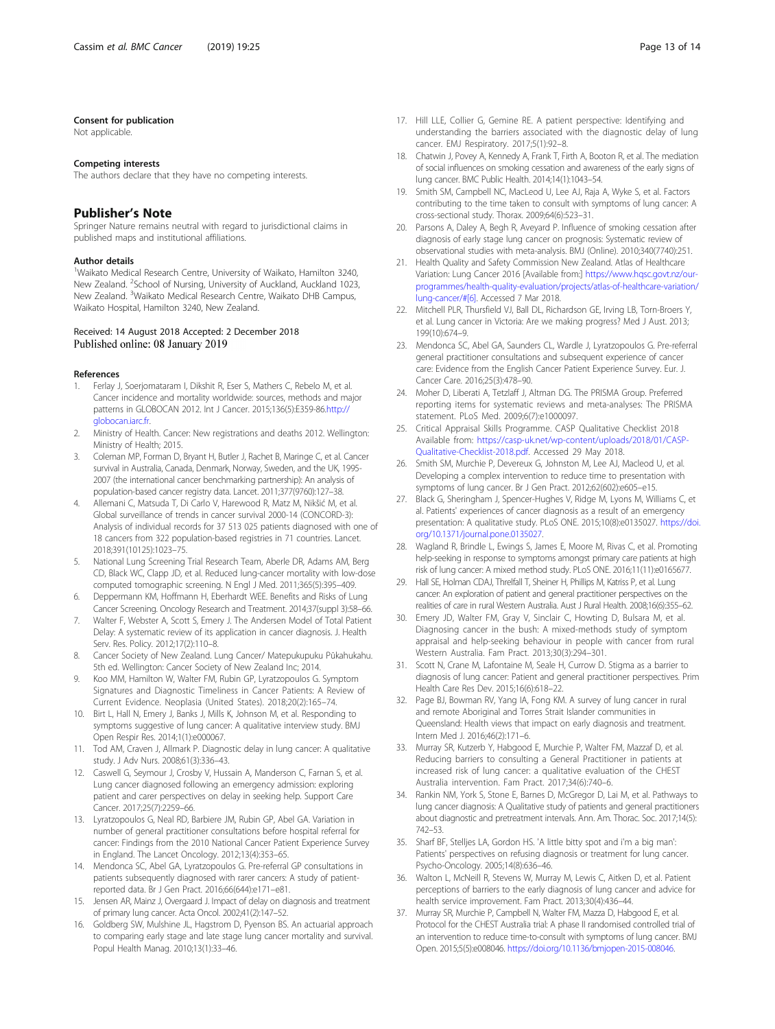#### <span id="page-12-0"></span>Consent for publication

Not applicable.

#### Competing interests

The authors declare that they have no competing interests.

# Publisher's Note

Springer Nature remains neutral with regard to jurisdictional claims in published maps and institutional affiliations.

# Author details

<sup>1</sup>Waikato Medical Research Centre, University of Waikato, Hamilton 3240, New Zealand. <sup>2</sup>School of Nursing, University of Auckland, Auckland 1023, New Zealand. <sup>3</sup>Waikato Medical Research Centre, Waikato DHB Campus, Waikato Hospital, Hamilton 3240, New Zealand.

### Received: 14 August 2018 Accepted: 2 December 2018 Published online: 08 January 2019

# References

- 1. Ferlay J, Soerjomataram I, Dikshit R, Eser S, Mathers C, Rebelo M, et al. Cancer incidence and mortality worldwide: sources, methods and major patterns in GLOBOCAN 2012. Int J Cancer. 2015;136(5):E359-86.[http://](http://globocan.iarc.fr) [globocan.iarc.fr.](http://globocan.iarc.fr)
- 2. Ministry of Health. Cancer: New registrations and deaths 2012. Wellington: Ministry of Health; 2015.
- 3. Coleman MP, Forman D, Bryant H, Butler J, Rachet B, Maringe C, et al. Cancer survival in Australia, Canada, Denmark, Norway, Sweden, and the UK, 1995- 2007 (the international cancer benchmarking partnership): An analysis of population-based cancer registry data. Lancet. 2011;377(9760):127–38.
- 4. Allemani C, Matsuda T, Di Carlo V, Harewood R, Matz M, Nikšić M, et al. Global surveillance of trends in cancer survival 2000-14 (CONCORD-3): Analysis of individual records for 37 513 025 patients diagnosed with one of 18 cancers from 322 population-based registries in 71 countries. Lancet. 2018;391(10125):1023–75.
- 5. National Lung Screening Trial Research Team, Aberle DR, Adams AM, Berg CD, Black WC, Clapp JD, et al. Reduced lung-cancer mortality with low-dose computed tomographic screening. N Engl J Med. 2011;365(5):395–409.
- 6. Deppermann KM, Hoffmann H, Eberhardt WEE. Benefits and Risks of Lung Cancer Screening. Oncology Research and Treatment. 2014;37(suppl 3):58–66.
- 7. Walter F, Webster A, Scott S, Emery J. The Andersen Model of Total Patient Delay: A systematic review of its application in cancer diagnosis. J. Health Serv. Res. Policy. 2012;17(2):110–8.
- Cancer Society of New Zealand. Lung Cancer/ Matepukupuku Pūkahukahu. 5th ed. Wellington: Cancer Society of New Zealand Inc; 2014.
- 9. Koo MM, Hamilton W, Walter FM, Rubin GP, Lyratzopoulos G. Symptom Signatures and Diagnostic Timeliness in Cancer Patients: A Review of Current Evidence. Neoplasia (United States). 2018;20(2):165–74.
- 10. Birt L, Hall N, Emery J, Banks J, Mills K, Johnson M, et al. Responding to symptoms suggestive of lung cancer: A qualitative interview study. BMJ Open Respir Res. 2014;1(1):e000067.
- 11. Tod AM, Craven J, Allmark P. Diagnostic delay in lung cancer: A qualitative study. J Adv Nurs. 2008;61(3):336–43.
- 12. Caswell G, Seymour J, Crosby V, Hussain A, Manderson C, Farnan S, et al. Lung cancer diagnosed following an emergency admission: exploring patient and carer perspectives on delay in seeking help. Support Care Cancer. 2017;25(7):2259–66.
- 13. Lyratzopoulos G, Neal RD, Barbiere JM, Rubin GP, Abel GA. Variation in number of general practitioner consultations before hospital referral for cancer: Findings from the 2010 National Cancer Patient Experience Survey in England. The Lancet Oncology. 2012;13(4):353–65.
- 14. Mendonca SC, Abel GA, Lyratzopoulos G. Pre-referral GP consultations in patients subsequently diagnosed with rarer cancers: A study of patientreported data. Br J Gen Pract. 2016;66(644):e171–e81.
- 15. Jensen AR, Mainz J, Overgaard J. Impact of delay on diagnosis and treatment of primary lung cancer. Acta Oncol. 2002;41(2):147–52.
- 16. Goldberg SW, Mulshine JL, Hagstrom D, Pyenson BS. An actuarial approach to comparing early stage and late stage lung cancer mortality and survival. Popul Health Manag. 2010;13(1):33–46.
- 17. Hill LLE, Collier G, Gemine RE. A patient perspective: Identifying and understanding the barriers associated with the diagnostic delay of lung cancer. EMJ Respiratory. 2017;5(1):92–8.
- 18. Chatwin J, Povey A, Kennedy A, Frank T, Firth A, Booton R, et al. The mediation of social influences on smoking cessation and awareness of the early signs of lung cancer. BMC Public Health. 2014;14(1):1043–54.
- 19. Smith SM, Campbell NC, MacLeod U, Lee AJ, Raja A, Wyke S, et al. Factors contributing to the time taken to consult with symptoms of lung cancer: A cross-sectional study. Thorax. 2009;64(6):523–31.
- 20. Parsons A, Daley A, Begh R, Aveyard P. Influence of smoking cessation after diagnosis of early stage lung cancer on prognosis: Systematic review of observational studies with meta-analysis. BMJ (Online). 2010;340(7740):251.
- 21. Health Quality and Safety Commission New Zealand. Atlas of Healthcare Variation: Lung Cancer 2016 [Available from:] [https://www.hqsc.govt.nz/our](https://www.hqsc.govt.nz/our-programmes/health-quality-evaluation/projects/atlas-of-healthcare-variation/lung-cancer/%23%5b6%5d)[programmes/health-quality-evaluation/projects/atlas-of-healthcare-variation/](https://www.hqsc.govt.nz/our-programmes/health-quality-evaluation/projects/atlas-of-healthcare-variation/lung-cancer/%23%5b6%5d) [lung-cancer/#\[6\]](https://www.hqsc.govt.nz/our-programmes/health-quality-evaluation/projects/atlas-of-healthcare-variation/lung-cancer/%23%5b6%5d). Accessed 7 Mar 2018.
- 22. Mitchell PLR, Thursfield VJ, Ball DL, Richardson GE, Irving LB, Torn-Broers Y, et al. Lung cancer in Victoria: Are we making progress? Med J Aust. 2013; 199(10):674–9.
- 23. Mendonca SC, Abel GA, Saunders CL, Wardle J, Lyratzopoulos G. Pre-referral general practitioner consultations and subsequent experience of cancer care: Evidence from the English Cancer Patient Experience Survey. Eur. J. Cancer Care. 2016;25(3):478–90.
- 24. Moher D, Liberati A, Tetzlaff J, Altman DG. The PRISMA Group. Preferred reporting items for systematic reviews and meta-analyses: The PRISMA statement. PLoS Med. 2009;6(7):e1000097.
- 25. Critical Appraisal Skills Programme. CASP Qualitative Checklist 2018 Available from: [https://casp-uk.net/wp-content/uploads/2018/01/CASP-](https://casp-uk.net/wp-content/uploads/2018/01/CASP-Qualitative-Checklist-2018.pdf)[Qualitative-Checklist-2018.pdf](https://casp-uk.net/wp-content/uploads/2018/01/CASP-Qualitative-Checklist-2018.pdf). Accessed 29 May 2018.
- 26. Smith SM, Murchie P, Devereux G, Johnston M, Lee AJ, Macleod U, et al. Developing a complex intervention to reduce time to presentation with symptoms of lung cancer. Br J Gen Pract. 2012;62(602):e605–e15.
- 27. Black G, Sheringham J, Spencer-Hughes V, Ridge M, Lyons M, Williams C, et al. Patients' experiences of cancer diagnosis as a result of an emergency presentation: A qualitative study. PLoS ONE. 2015;10(8):e0135027. [https://doi.](https://doi.org/10.1371/journal.pone.0135027) [org/10.1371/journal.pone.0135027.](https://doi.org/10.1371/journal.pone.0135027)
- 28. Wagland R, Brindle L, Ewings S, James E, Moore M, Rivas C, et al. Promoting help-seeking in response to symptoms amongst primary care patients at high risk of lung cancer: A mixed method study. PLoS ONE. 2016;11(11):e0165677.
- 29. Hall SE, Holman CDAJ, Threlfall T, Sheiner H, Phillips M, Katriss P, et al. Lung cancer: An exploration of patient and general practitioner perspectives on the realities of care in rural Western Australia. Aust J Rural Health. 2008;16(6):355–62.
- 30. Emery JD, Walter FM, Gray V, Sinclair C, Howting D, Bulsara M, et al. Diagnosing cancer in the bush: A mixed-methods study of symptom appraisal and help-seeking behaviour in people with cancer from rural Western Australia. Fam Pract. 2013;30(3):294–301.
- 31. Scott N, Crane M, Lafontaine M, Seale H, Currow D. Stigma as a barrier to diagnosis of lung cancer: Patient and general practitioner perspectives. Prim Health Care Res Dev. 2015;16(6):618–22.
- 32. Page BJ, Bowman RV, Yang IA, Fong KM. A survey of lung cancer in rural and remote Aboriginal and Torres Strait Islander communities in Queensland: Health views that impact on early diagnosis and treatment. Intern Med J. 2016;46(2):171–6.
- 33. Murray SR, Kutzerb Y, Habgood E, Murchie P, Walter FM, Mazzaf D, et al. Reducing barriers to consulting a General Practitioner in patients at increased risk of lung cancer: a qualitative evaluation of the CHEST Australia intervention. Fam Pract. 2017;34(6):740–6.
- 34. Rankin NM, York S, Stone E, Barnes D, McGregor D, Lai M, et al. Pathways to lung cancer diagnosis: A Qualitative study of patients and general practitioners about diagnostic and pretreatment intervals. Ann. Am. Thorac. Soc. 2017;14(5): 742–53.
- 35. Sharf BF, Stelljes LA, Gordon HS. 'A little bitty spot and i'm a big man': Patients' perspectives on refusing diagnosis or treatment for lung cancer. Psycho-Oncology. 2005;14(8):636–46.
- 36. Walton L, McNeill R, Stevens W, Murray M, Lewis C, Aitken D, et al. Patient perceptions of barriers to the early diagnosis of lung cancer and advice for health service improvement. Fam Pract. 2013;30(4):436–44.
- 37. Murray SR, Murchie P, Campbell N, Walter FM, Mazza D, Habgood E, et al. Protocol for the CHEST Australia trial: A phase II randomised controlled trial of an intervention to reduce time-to-consult with symptoms of lung cancer. BMJ Open. 2015;5(5):e008046. [https://doi.org/10.1136/bmjopen-2015-008046.](https://doi.org/10.1136/bmjopen-2015-008046)